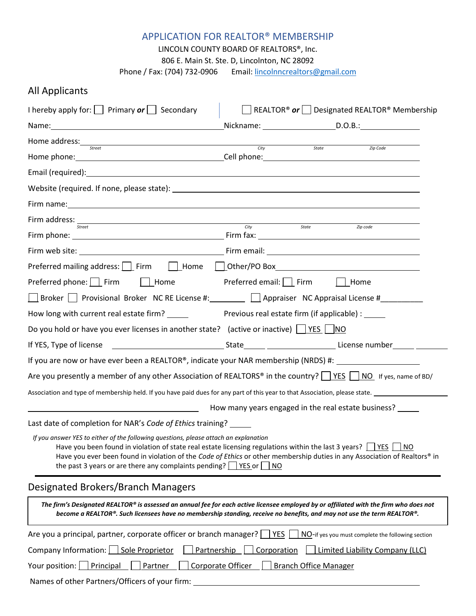## APPLICATION FOR REALTOR® MEMBERSHIP

LINCOLN COUNTY BOARD OF REALTORS®, Inc.

806 E. Main St. Ste. D, Lincolnton, NC 28092

Phone / Fax: (704) 732-0906 Email[: lincolnncrealtors@gmail.com](mailto:aelincoln@gmail.com)

## All Applicants

| I hereby apply for: Primary $or$ Secondary                                                                                                                                                                                                                                                                                                                                                                           |                                   |                              | REALTOR <sup>®</sup> or Designated REALTOR <sup>®</sup> Membership |
|----------------------------------------------------------------------------------------------------------------------------------------------------------------------------------------------------------------------------------------------------------------------------------------------------------------------------------------------------------------------------------------------------------------------|-----------------------------------|------------------------------|--------------------------------------------------------------------|
|                                                                                                                                                                                                                                                                                                                                                                                                                      |                                   |                              |                                                                    |
| Home address: <u>Street City</u>                                                                                                                                                                                                                                                                                                                                                                                     |                                   | State                        | <i>Zip Code</i>                                                    |
|                                                                                                                                                                                                                                                                                                                                                                                                                      |                                   |                              |                                                                    |
|                                                                                                                                                                                                                                                                                                                                                                                                                      |                                   |                              |                                                                    |
|                                                                                                                                                                                                                                                                                                                                                                                                                      |                                   |                              |                                                                    |
|                                                                                                                                                                                                                                                                                                                                                                                                                      |                                   |                              |                                                                    |
| Firm address: <u>state</u>                                                                                                                                                                                                                                                                                                                                                                                           |                                   |                              |                                                                    |
|                                                                                                                                                                                                                                                                                                                                                                                                                      |                                   |                              | Zip code                                                           |
|                                                                                                                                                                                                                                                                                                                                                                                                                      |                                   |                              |                                                                    |
|                                                                                                                                                                                                                                                                                                                                                                                                                      |                                   |                              |                                                                    |
| Preferred phone: $\Box$ Firm $\Box$ Home Preferred email: $\Box$ Firm $\Box$ Home                                                                                                                                                                                                                                                                                                                                    |                                   |                              |                                                                    |
| □ Broker Provisional Broker NC RE License #: 2010 Appraiser NC Appraisal License #                                                                                                                                                                                                                                                                                                                                   |                                   |                              |                                                                    |
|                                                                                                                                                                                                                                                                                                                                                                                                                      |                                   |                              |                                                                    |
| Do you hold or have you ever licenses in another state? (active or inactive) $\frac{ \nabla F(S) }{ \nabla F(S) }$                                                                                                                                                                                                                                                                                                   |                                   |                              |                                                                    |
|                                                                                                                                                                                                                                                                                                                                                                                                                      |                                   |                              |                                                                    |
| If you are now or have ever been a REALTOR®, indicate your NAR membership (NRDS) #:                                                                                                                                                                                                                                                                                                                                  |                                   |                              |                                                                    |
| Are you presently a member of any other Association of REALTORS <sup>®</sup> in the country? $\Box$ YES $\Box$ NO If yes, name of BD/                                                                                                                                                                                                                                                                                |                                   |                              |                                                                    |
|                                                                                                                                                                                                                                                                                                                                                                                                                      |                                   |                              |                                                                    |
|                                                                                                                                                                                                                                                                                                                                                                                                                      |                                   |                              | How many years engaged in the real estate business?                |
| Last date of completion for NAR's Code of Ethics training?                                                                                                                                                                                                                                                                                                                                                           |                                   |                              |                                                                    |
| If you answer YES to either of the following questions, please attach an explanation<br>Have you been found in violation of state real estate licensing regulations within the last 3 years? $\Box$ YES [<br>Have you ever been found in violation of the Code of Ethics or other membership duties in any Association of Realtors® in<br>the past 3 years or are there any complaints pending? $\Box$ YES or $\Box$ | I NO                              |                              | <b>NO</b>                                                          |
| Designated Brokers/Branch Managers                                                                                                                                                                                                                                                                                                                                                                                   |                                   |                              |                                                                    |
| The firm's Designated REALTOR® is assessed an annual fee for each active licensee employed by or affiliated with the firm who does not<br>become a REALTOR®. Such licensees have no membership standing, receive no benefits, and may not use the term REALTOR®.                                                                                                                                                     |                                   |                              |                                                                    |
| Are you a principal, partner, corporate officer or branch manager? [                                                                                                                                                                                                                                                                                                                                                 | YES                               |                              | NO-if yes you must complete the following section                  |
| Company Information:     Sole Proprietor                                                                                                                                                                                                                                                                                                                                                                             | <b>Partnership</b><br>Corporation |                              | Limited Liability Company (LLC)                                    |
| Principal<br>Partner<br>Your position:                                                                                                                                                                                                                                                                                                                                                                               | Corporate Officer                 | <b>Branch Office Manager</b> |                                                                    |
| Names of other Partners/Officers of your firm:                                                                                                                                                                                                                                                                                                                                                                       |                                   |                              |                                                                    |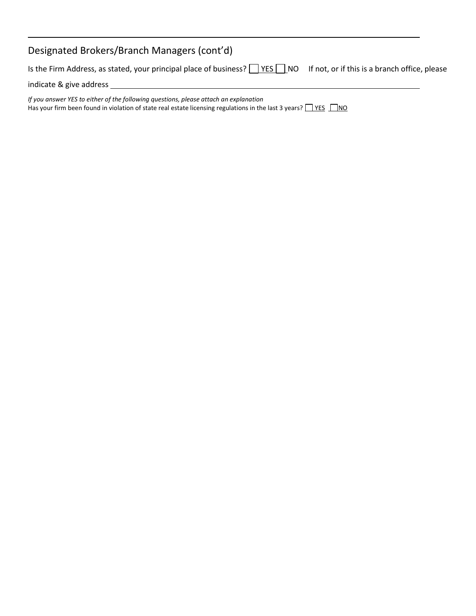| Designated Brokers/Branch Managers (cont'd)                                                                                                                                                                        |  |
|--------------------------------------------------------------------------------------------------------------------------------------------------------------------------------------------------------------------|--|
| Is the Firm Address, as stated, your principal place of business?     YES     NO If not, or if this is a branch office, please                                                                                     |  |
| indicate & give address                                                                                                                                                                                            |  |
| If you answer YES to either of the following questions, please attach an explanation<br>Has your firm been found in violation of state real estate licensing regulations in the last 3 years? $\Box$ YES $\Box$ NO |  |